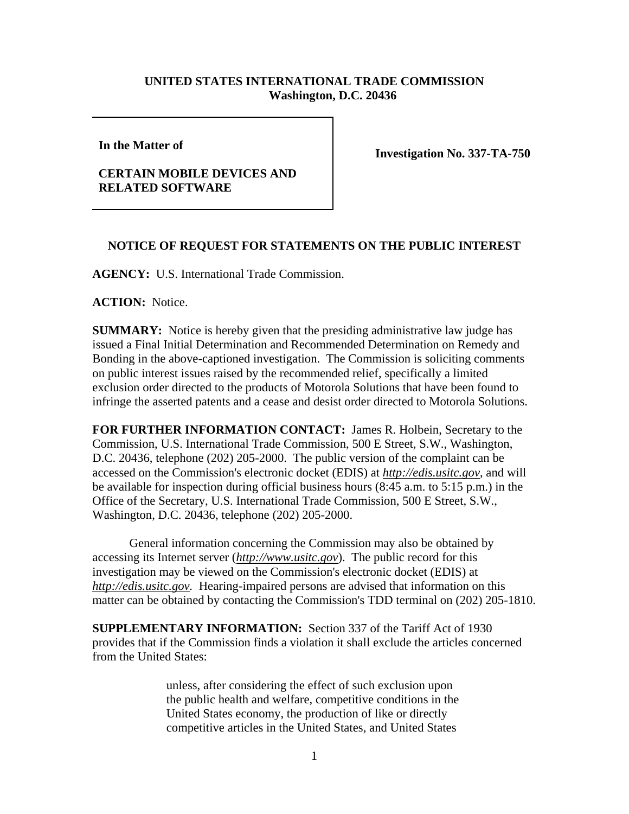## **UNITED STATES INTERNATIONAL TRADE COMMISSION Washington, D.C. 20436**

**In the Matter of** 

## **CERTAIN MOBILE DEVICES AND RELATED SOFTWARE**

**Investigation No. 337-TA-750** 

## **NOTICE OF REQUEST FOR STATEMENTS ON THE PUBLIC INTEREST**

**AGENCY:** U.S. International Trade Commission.

**ACTION:** Notice.

**SUMMARY:** Notice is hereby given that the presiding administrative law judge has issued a Final Initial Determination and Recommended Determination on Remedy and Bonding in the above-captioned investigation. The Commission is soliciting comments on public interest issues raised by the recommended relief, specifically a limited exclusion order directed to the products of Motorola Solutions that have been found to infringe the asserted patents and a cease and desist order directed to Motorola Solutions.

**FOR FURTHER INFORMATION CONTACT:** James R. Holbein, Secretary to the Commission, U.S. International Trade Commission, 500 E Street, S.W., Washington, D.C. 20436, telephone (202) 205-2000. The public version of the complaint can be accessed on the Commission's electronic docket (EDIS) at *http://edis.usitc.gov*, and will be available for inspection during official business hours (8:45 a.m. to 5:15 p.m.) in the Office of the Secretary, U.S. International Trade Commission, 500 E Street, S.W., Washington, D.C. 20436, telephone (202) 205-2000.

General information concerning the Commission may also be obtained by accessing its Internet server (*http://www.usitc.gov*). The public record for this investigation may be viewed on the Commission's electronic docket (EDIS) at *http://edis.usitc.gov.* Hearing-impaired persons are advised that information on this matter can be obtained by contacting the Commission's TDD terminal on (202) 205-1810.

**SUPPLEMENTARY INFORMATION:** Section 337 of the Tariff Act of 1930 provides that if the Commission finds a violation it shall exclude the articles concerned from the United States:

> unless, after considering the effect of such exclusion upon the public health and welfare, competitive conditions in the United States economy, the production of like or directly competitive articles in the United States, and United States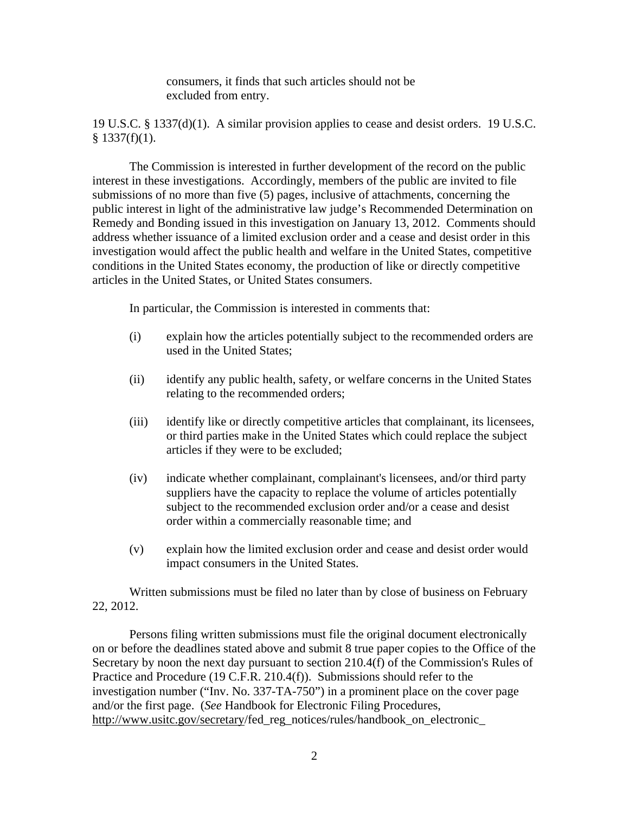consumers, it finds that such articles should not be excluded from entry.

19 U.S.C. § 1337(d)(1). A similar provision applies to cease and desist orders. 19 U.S.C.  $$1337(f)(1).$ 

The Commission is interested in further development of the record on the public interest in these investigations. Accordingly, members of the public are invited to file submissions of no more than five (5) pages, inclusive of attachments, concerning the public interest in light of the administrative law judge's Recommended Determination on Remedy and Bonding issued in this investigation on January 13, 2012. Comments should address whether issuance of a limited exclusion order and a cease and desist order in this investigation would affect the public health and welfare in the United States, competitive conditions in the United States economy, the production of like or directly competitive articles in the United States, or United States consumers.

In particular, the Commission is interested in comments that:

- (i) explain how the articles potentially subject to the recommended orders are used in the United States;
- (ii) identify any public health, safety, or welfare concerns in the United States relating to the recommended orders;
- (iii) identify like or directly competitive articles that complainant, its licensees, or third parties make in the United States which could replace the subject articles if they were to be excluded;
- (iv) indicate whether complainant, complainant's licensees, and/or third party suppliers have the capacity to replace the volume of articles potentially subject to the recommended exclusion order and/or a cease and desist order within a commercially reasonable time; and
- (v) explain how the limited exclusion order and cease and desist order would impact consumers in the United States.

Written submissions must be filed no later than by close of business on February 22, 2012.

Persons filing written submissions must file the original document electronically on or before the deadlines stated above and submit 8 true paper copies to the Office of the Secretary by noon the next day pursuant to section 210.4(f) of the Commission's Rules of Practice and Procedure (19 C.F.R. 210.4(f)). Submissions should refer to the investigation number ("Inv. No. 337-TA-750") in a prominent place on the cover page and/or the first page. (*See* Handbook for Electronic Filing Procedures, http://www.usitc.gov/secretary/fed\_reg\_notices/rules/handbook\_on\_electronic\_